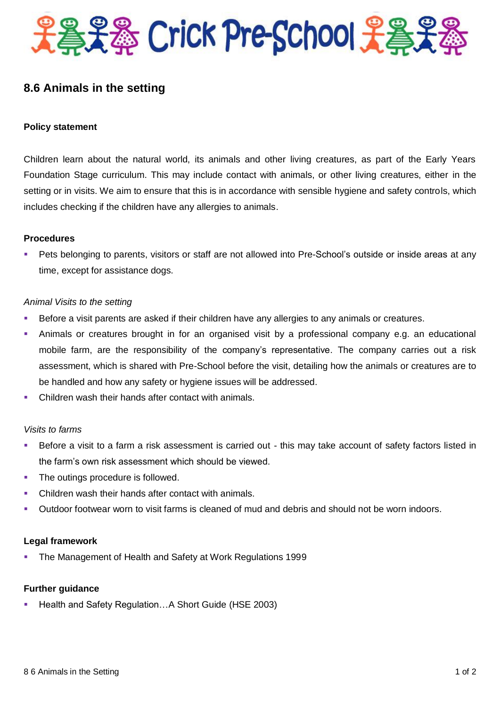

# **8.6 Animals in the setting**

### **Policy statement**

Children learn about the natural world, its animals and other living creatures, as part of the Early Years Foundation Stage curriculum. This may include contact with animals, or other living creatures, either in the setting or in visits. We aim to ensure that this is in accordance with sensible hygiene and safety controls, which includes checking if the children have any allergies to animals.

#### **Procedures**

 Pets belonging to parents, visitors or staff are not allowed into Pre-School's outside or inside areas at any time, except for assistance dogs.

#### *Animal Visits to the setting*

- Before a visit parents are asked if their children have any allergies to any animals or creatures.
- Animals or creatures brought in for an organised visit by a professional company e.g. an educational mobile farm, are the responsibility of the company's representative. The company carries out a risk assessment, which is shared with Pre-School before the visit, detailing how the animals or creatures are to be handled and how any safety or hygiene issues will be addressed.
- Children wash their hands after contact with animals.

#### *Visits to farms*

- Before a visit to a farm a risk assessment is carried out this may take account of safety factors listed in the farm's own risk assessment which should be viewed.
- The outings procedure is followed.
- Children wash their hands after contact with animals.
- Outdoor footwear worn to visit farms is cleaned of mud and debris and should not be worn indoors.

## **Legal framework**

**The Management of Health and Safety at Work Regulations 1999** 

## **Further guidance**

Health and Safety Regulation…A Short Guide (HSE 2003)